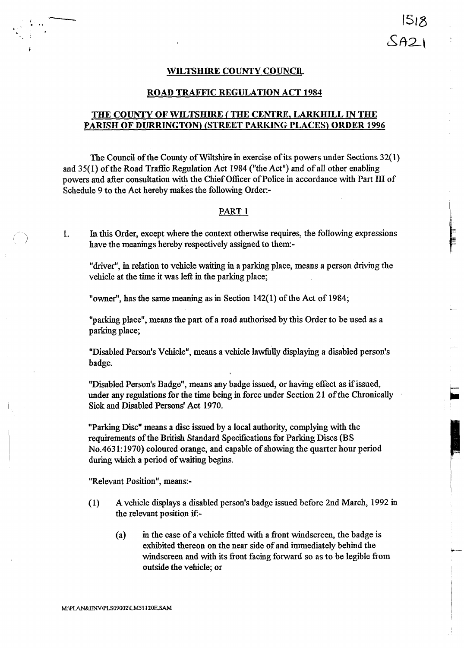#### WILTSHIRE COUNTY COUNCIL

#### ROAD TRAFFIC REGULATION ACT <sup>1984</sup>

# THE COUNTY OF WILTSHIRE (THE CENTRE, LARKHTLL IN THE PARISH OF DURRINGTON) (STREET PARKING PLACES) ORDER <sup>1996</sup>

The Council of the County of Wiltshire in exercise of its powers under Sections  $32(1)$ and 35(1) ofthe Road Traffic Regulation Act 1984 ("the Act") and of all other enabling powers and after consultation with the Chief Officer of Police in accordance with Part III of Schedule 9 to the Act hereby makes the following Order:-

### PART <sup>1</sup>

<sup>1</sup> . In this Order, except where the context otherwise requires, the following expressions have the meanings hereby respectively assigned to them:-

"driver", in relation to vehicle waiting in a parking place, means a person driving the vehicle at the time it was left in the parking place;

"owner", has the same meaning as in Section  $142(1)$  of the Act of 1984;

"parking place", means the part of a road authorised by this Order to be used as a parking place;

"Disabled Person's Vehicle", means a vehicle lawfully displaying <sup>a</sup> disabled person's badge.

"Disabled Person's Badge", means any badge issued, or having effect as if issued, under any regulations for the time being in force under Section 21 of the Chronically Sick and Disabled Persons' Act 1970.

"Parking Disc" means a disc issued by a local authority, complying with the requirements of the British Standard Specifications for Parking Discs (BS No.4631:1970) coloured orange, and capable of showing the quarter hour period during which a period of waiting begins.

"Relevant Position", means:-

- $(1)$ Avehicle displays <sup>a</sup> disabled person's badge issued before 2nd March, <sup>1992</sup> in the relevant position if.-
	- (a) in the case of a vehicle fitted with a front windscreen, the badge is exhibited thereon on the near side of and immediately behind the windscreen and with its front facing forward so as to be legible from outside the vehicle; or

M:\PLAN&ENVIPLS09002U.M51120E.SAM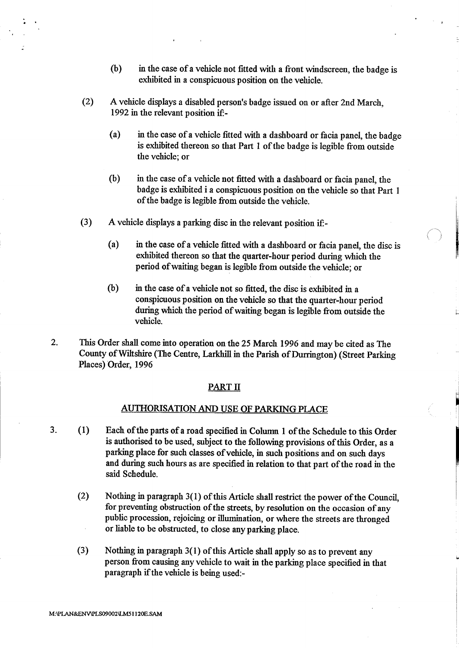- (b) in the case of <sup>a</sup> vehicle not fitted with a front windscreen, the badge is exhibited in a conspicuous position on the vehicle.
- (2) A vehicle displays <sup>a</sup> disabled person's badge issued on or after 2nd March, 1992 in the relevant position if-
	- (a) in the case of a vehicle fitted with a dashboard or facia panel, the badge is exhibited thereon so that Part <sup>1</sup> of the badge is legible from outside the vehicle: or
	- (b) in the case of a vehicle not fitted with a dashboard or facia panel, the badge is exhibited <sup>i</sup> a conspicuous position on the vehicle so that Part <sup>1</sup> of the badge is legible from outside the vehicle.
- (3) A vehicle displays <sup>a</sup> parking disc in the relevant position if-
	- (a) in the case of <sup>a</sup> vehicle fitted with a dashboard or facia panel, the disc is exhibited thereon so that the quarter-hour period during which the period of waiting began is legible from outside the vehicle; or
	- $(b)$  in the case of a vehicle not so fitted, the disc is exhibited in a conspicuous position on the vehicle so that the quarter-hour period during which the period of waiting began is legible from outside the vehicle.
- 2. This Order shall come into operation on the 25 March 1996 and may be cited as The County of Wiltshire (The Centre, Larkhill in the Parish of Durrington) (Street Parking Places) Order, 1996

#### PART II

## AUTHORISATION AND USE OF PARKING PLACE

- 3. (1) Each ofthe parts of <sup>a</sup> road specified in Column <sup>1</sup> ofthe Schedule to this Order is authorised to be used, subject to the following provisions of this Order, as a parking place for such classes of vehicle, in such positions and on such days and during such hours as are specified in relation to that part of the road in the said Schedule.
	- (2) Nothing in paragraph  $3(1)$  of this Article shall restrict the power of the Council, for preventing obstruction of the streets, by resolution on the occasion of any public procession, rejoicing or illumination, or where the streets are thronged or liable to be obstructed, to close any parking place.
	- $(3)$ Nothing in paragraph  $3(1)$  of this Article shall apply so as to prevent any person from causing any vehicle to wait in the parking place specified in that paragraph if the vehicle is being used:-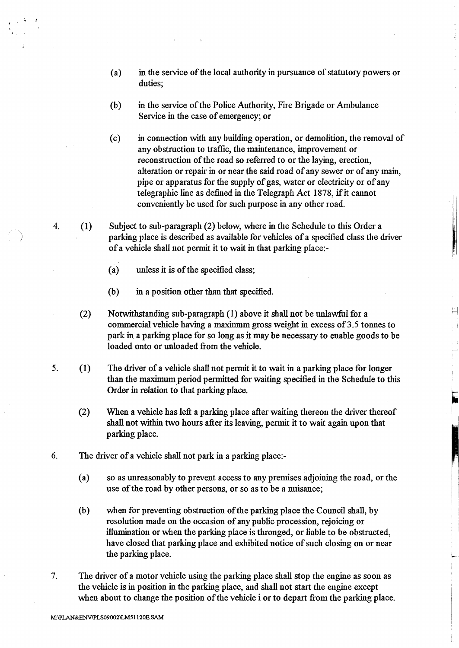- (a) in the service of the local authority in pursuance of statutory powers or duties:
- (b) in the service of the Police Authority, Fire Brigade or Ambulance Service in the case of emergency; or
- (c) in connection with any building operation, or demolition, the removal of any obstruction to traffic, the maintenance, improvement or reconstruction of the road so referred to or the laying, erection, alteration or repair in or near the said road of any sewer or of any main, pipe or apparatus for the supply of gas, water or electricity or of any telegraphic line as defined in the Telegraph Act 1878, if it cannot conveniently be used for such purpose in any other road.
- 4. (1) Subject to sub-paragraph (2) below, where in the Schedule to this Order <sup>a</sup> parking place is described as available for vehicles of a specified class the driver of a vehicle shall not permit it to wait in that parking place:-
	- $(a)$  unless it is of the specified class;
	- (b) in a position other than that specified.
	- (2) Notwithstanding sub-paragraph (1) above it shall not be unlawful for a commercial vehicle having a maximum gross weight in excess of 3.5 tonnes to park in a parking place for so long as it may be necessary to enable goods to be loaded onto or unloaded from the vehicle.

 $\overline{\Box}$ 

- 5. (1) The driver of a vehicle shall not permit it to wait in a parking place for longer than the maximum period permitted for waiting specified in the Schedule to this Order in relation to that parking place.
	- (2) When a vehicle has left <sup>a</sup> parking place after waiting thereon the driver thereof shall not within two hours after its leaving, permit it to wait again upon that parking place.
- 6. The driver of a vehicle shall not park in a parking place:-
	- (a) so as unreasonably to prevent access to any premises adjoining the road, or the use of the road by other persons, or so as to be a nuisance;
	- (b) when for preventing obstruction ofthe parking place the Council shall, by resolution made on the occasion of any public procession, rejoicing or illumination or when the parking place is thronged, or liable to be obstructed, have closed that parking place and exhibited notice of such closing on or near the parking place.
- 7. The driver of <sup>a</sup> motor vehicle using the parking place shall stop the engine as soon as the vehicle is in position in the parking place, and shall not start the engine except when about to change the position of the vehicle i or to depart from the parking place.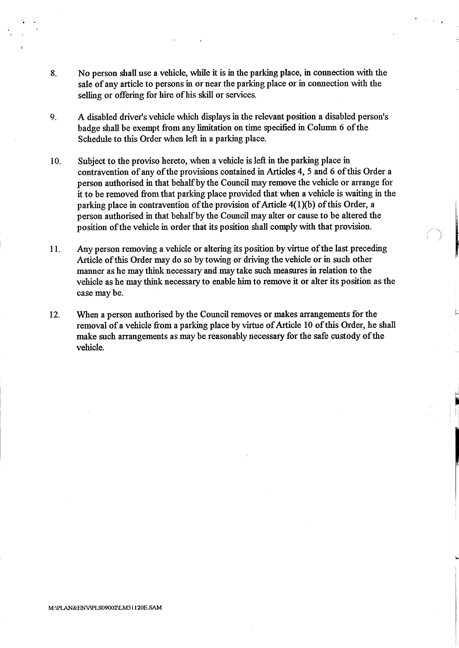- 8. No person shall use <sup>a</sup> vehicle, while it is in the parking place, in connection with the sale of any article to persons in or near the parking place or in connection with the selling or offering for hire of his skill or services.
- 9. A disabled driver's vehicle which displays in the relevant position <sup>a</sup> disabled person's badge shall be exempt from any limitation on time specified in Column 6 ofthe Schedule to this Order when left in a parking place.
- 10. Subject to the proviso hereto, when a vehicle is left in the parking place in contravention of any of the provisions contained in Articles 4, 5 and 6 of this Order a person authorised in that behalf by the Council may remove the vehicle or arrange for it to be removed from that parking place provided that when a vehicle is waiting in the parking place in contravention of the provision of Article  $4(1)(b)$  of this Order, a person authorised in that behalf by the Council may alter or cause to be altered the position ofthe vehicle in order that its position shall comply with that provision.
- 11. Any person removing a vehicle or altering its position by virtue of the last preceding Article of this Order may do so by towing or driving the vehicle or in such other manner as he may think necessary and may take such measures in relation to the vehicle as he may think necessary to enable him to remove it or alter its position as the case may be.
- 12. When <sup>a</sup> person authorised by the Council removes or makes arrangements for the removal of a vehicle from a parking place by virtue of Article 10 of this Order, he shall make such arrangements as may be reasonably necessary for the safe custody of the vehicle.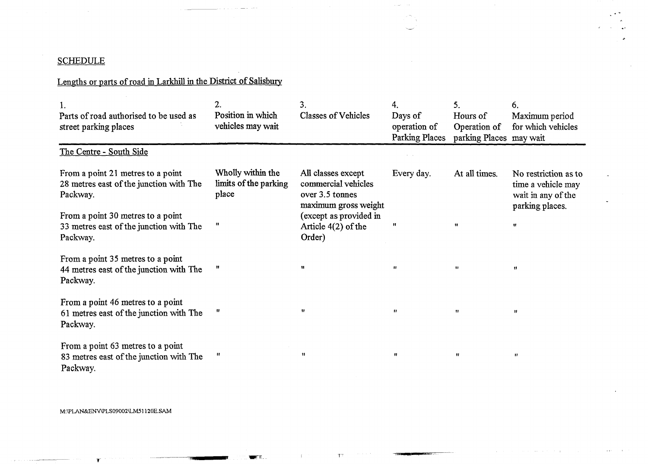# SCHEDULE

# Lengths or parts of road in Larkhill in the District of Salisbury

| 1.<br>Parts of road authorised to be used as<br>street parking places                    | 2.<br>Position in which<br>vehicles may wait        | 3.<br><b>Classes of Vehicles</b>                                                     | 4.<br>Days of<br>operation of<br>Parking Places | 5.<br>Hours of<br>Operation of<br>parking Places may wait | 6.<br>Maximum period<br>for which vehicles                                          |
|------------------------------------------------------------------------------------------|-----------------------------------------------------|--------------------------------------------------------------------------------------|-------------------------------------------------|-----------------------------------------------------------|-------------------------------------------------------------------------------------|
| The Centre - South Side                                                                  |                                                     |                                                                                      |                                                 |                                                           |                                                                                     |
| From a point 21 metres to a point<br>28 metres east of the junction with The<br>Packway. | Wholly within the<br>limits of the parking<br>place | All classes except<br>commercial vehicles<br>over 3.5 tonnes<br>maximum gross weight | Every day.                                      | At all times.                                             | No restriction as to<br>time a vehicle may<br>wait in any of the<br>parking places. |
| From a point 30 metres to a point<br>33 metres east of the junction with The<br>Packway. | u                                                   | (except as provided in<br>Article $4(2)$ of the<br>Order)                            | $\mathbf{H}$                                    | $\mathbf{u}$                                              | $\mathbf{u}$                                                                        |
| From a point 35 metres to a point<br>44 metres east of the junction with The<br>Packway. | Ħ                                                   | w                                                                                    | $\mathbf{H}$                                    | 11                                                        | Ħ                                                                                   |
| From a point 46 metres to a point<br>61 metres east of the junction with The<br>Packway. | Ħ                                                   | Ħ                                                                                    | $\mathbf H$                                     | 11                                                        | $\pmb{\mathfrak{m}}$                                                                |
| From a point 63 metres to a point<br>83 metres east of the junction with The<br>Packway. | Ħ                                                   | 11                                                                                   | $\pmb{\mathsf{H}}$                              | $^{\dagger}$                                              | $\pmb{\mathsf{H}}$                                                                  |

 $T^{\ast}$ 

r af t

M:\PLAN&ENV\PLS09002\LM51120E.SAM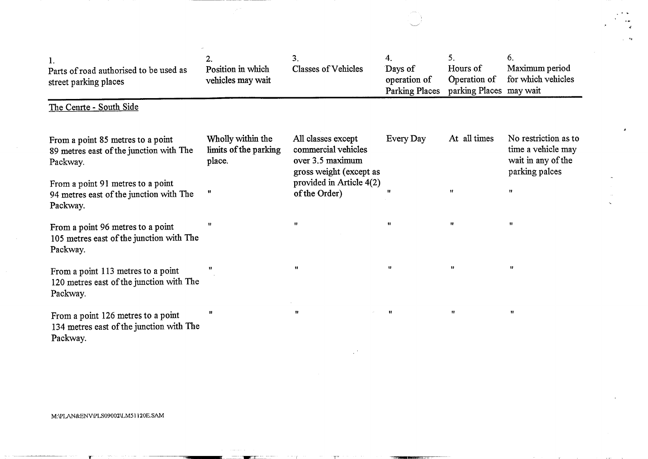| 1.<br>Parts of road authorised to be used as<br>street parking places                      | 2.<br>Position in which<br>vehicles may wait         | 3 <sub>1</sub><br><b>Classes of Vehicles</b>                                             | 4.<br>Days of<br>operation of<br>Parking Places | 5.<br>Hours of<br>Operation of<br>parking Places may wait | 6.<br>Maximum period<br>for which vehicles                                         |
|--------------------------------------------------------------------------------------------|------------------------------------------------------|------------------------------------------------------------------------------------------|-------------------------------------------------|-----------------------------------------------------------|------------------------------------------------------------------------------------|
| The Cenrte - South Side                                                                    |                                                      |                                                                                          |                                                 |                                                           |                                                                                    |
| From a point 85 metres to a point<br>89 metres east of the junction with The<br>Packway.   | Wholly within the<br>limits of the parking<br>place. | All classes except<br>commercial vehicles<br>over 3.5 maximum<br>gross weight (except as | Every Day                                       | At all times                                              | No restriction as to<br>time a vehicle may<br>wait in any of the<br>parking palces |
| From a point 91 metres to a point<br>94 metres east of the junction with The<br>Packway.   | Ħ                                                    | provided in Article 4(2)<br>of the Order)                                                | $\mathbf{H}$                                    | $\bullet\bullet$                                          | $\pmb{\mathsf{H}}$                                                                 |
| From a point 96 metres to a point<br>105 metres east of the junction with The<br>Packway.  | $\mathbf{H}$                                         | Ħ                                                                                        | $\mathbf{H}$                                    | $\pmb{\Pi}$                                               | $\pmb{\Pi}$                                                                        |
| From a point 113 metres to a point<br>120 metres east of the junction with The<br>Packway. | Ħ                                                    | $\pmb{\mathsf{H}}$                                                                       | $\mathbf{H}$                                    | $\mathbf{H}$                                              | $\mathbf{H}$                                                                       |
| From a point 126 metres to a point<br>134 metres east of the junction with The<br>Packway. | "                                                    | $\mathbf{H}$                                                                             | $\mathbf{H}$                                    | $\bullet\bullet$                                          | $\mathbf{H}$                                                                       |

- re

#### M:\I'LAN&ENW'I.S09002\LM51120E.SAM